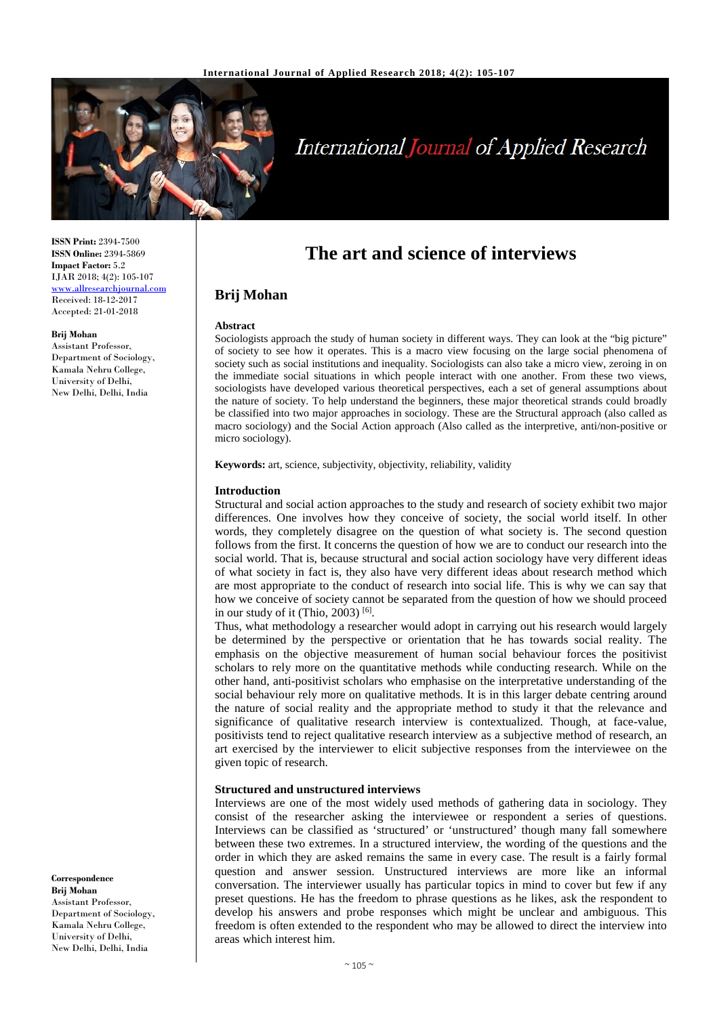

# **International Journal of Applied Research**

**ISSN Print:** 2394-7500 **ISSN Online:** 2394-5869 **Impact Factor:** 5.2 IJAR 2018; 4(2): 105-107 www.allresearchjournal.com Received: 18-12-2017 Accepted: 21-01-2018

#### **Brij Mohan**

Assistant Professor, Department of Sociology, Kamala Nehru College, University of Delhi, New Delhi, Delhi, India

**Correspondence Brij Mohan** Assistant Professor, Department of Sociology, Kamala Nehru College, University of Delhi, New Delhi, Delhi, India

# **The art and science of interviews**

# **Brij Mohan**

#### **Abstract**

Sociologists approach the study of human society in different ways. They can look at the "big picture" of society to see how it operates. This is a macro view focusing on the large social phenomena of society such as social institutions and inequality. Sociologists can also take a micro view, zeroing in on the immediate social situations in which people interact with one another. From these two views, sociologists have developed various theoretical perspectives, each a set of general assumptions about the nature of society. To help understand the beginners, these major theoretical strands could broadly be classified into two major approaches in sociology. These are the Structural approach (also called as macro sociology) and the Social Action approach (Also called as the interpretive, anti/non-positive or micro sociology).

**Keywords:** art, science, subjectivity, objectivity, reliability, validity

#### **Introduction**

Structural and social action approaches to the study and research of society exhibit two major differences. One involves how they conceive of society, the social world itself. In other words, they completely disagree on the question of what society is. The second question follows from the first. It concerns the question of how we are to conduct our research into the social world. That is, because structural and social action sociology have very different ideas of what society in fact is, they also have very different ideas about research method which are most appropriate to the conduct of research into social life. This is why we can say that how we conceive of society cannot be separated from the question of how we should proceed in our study of it (Thio, 2003)  $[6]$ .

Thus, what methodology a researcher would adopt in carrying out his research would largely be determined by the perspective or orientation that he has towards social reality. The emphasis on the objective measurement of human social behaviour forces the positivist scholars to rely more on the quantitative methods while conducting research. While on the other hand, anti-positivist scholars who emphasise on the interpretative understanding of the social behaviour rely more on qualitative methods. It is in this larger debate centring around the nature of social reality and the appropriate method to study it that the relevance and significance of qualitative research interview is contextualized. Though, at face-value, positivists tend to reject qualitative research interview as a subjective method of research, an art exercised by the interviewer to elicit subjective responses from the interviewee on the given topic of research.

#### **Structured and unstructured interviews**

Interviews are one of the most widely used methods of gathering data in sociology. They consist of the researcher asking the interviewee or respondent a series of questions. Interviews can be classified as 'structured' or 'unstructured' though many fall somewhere between these two extremes. In a structured interview, the wording of the questions and the order in which they are asked remains the same in every case. The result is a fairly formal question and answer session. Unstructured interviews are more like an informal conversation. The interviewer usually has particular topics in mind to cover but few if any preset questions. He has the freedom to phrase questions as he likes, ask the respondent to develop his answers and probe responses which might be unclear and ambiguous. This freedom is often extended to the respondent who may be allowed to direct the interview into areas which interest him.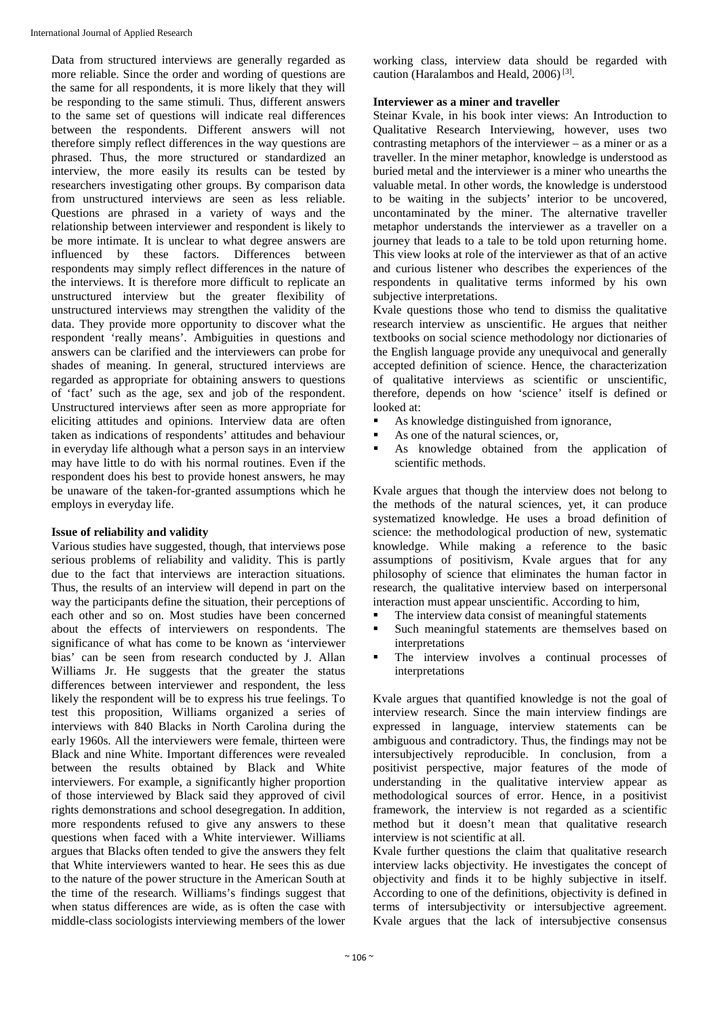Data from structured interviews are generally regarded as more reliable. Since the order and wording of questions are the same for all respondents, it is more likely that they will be responding to the same stimuli. Thus, different answers to the same set of questions will indicate real differences between the respondents. Different answers will not therefore simply reflect differences in the way questions are phrased. Thus, the more structured or standardized an interview, the more easily its results can be tested by researchers investigating other groups. By comparison data from unstructured interviews are seen as less reliable. Questions are phrased in a variety of ways and the relationship between interviewer and respondent is likely to be more intimate. It is unclear to what degree answers are influenced by these factors. Differences between respondents may simply reflect differences in the nature of the interviews. It is therefore more difficult to replicate an unstructured interview but the greater flexibility of unstructured interviews may strengthen the validity of the data. They provide more opportunity to discover what the respondent 'really means'. Ambiguities in questions and answers can be clarified and the interviewers can probe for shades of meaning. In general, structured interviews are regarded as appropriate for obtaining answers to questions of 'fact' such as the age, sex and job of the respondent. Unstructured interviews after seen as more appropriate for eliciting attitudes and opinions. Interview data are often taken as indications of respondents' attitudes and behaviour in everyday life although what a person says in an interview may have little to do with his normal routines. Even if the respondent does his best to provide honest answers, he may be unaware of the taken-for-granted assumptions which he employs in everyday life.

# **Issue of reliability and validity**

Various studies have suggested, though, that interviews pose serious problems of reliability and validity. This is partly due to the fact that interviews are interaction situations. Thus, the results of an interview will depend in part on the way the participants define the situation, their perceptions of each other and so on. Most studies have been concerned about the effects of interviewers on respondents. The significance of what has come to be known as 'interviewer bias' can be seen from research conducted by J. Allan Williams Jr. He suggests that the greater the status differences between interviewer and respondent, the less likely the respondent will be to express his true feelings. To test this proposition, Williams organized a series of interviews with 840 Blacks in North Carolina during the early 1960s. All the interviewers were female, thirteen were Black and nine White. Important differences were revealed between the results obtained by Black and White interviewers. For example, a significantly higher proportion of those interviewed by Black said they approved of civil rights demonstrations and school desegregation. In addition, more respondents refused to give any answers to these questions when faced with a White interviewer. Williams argues that Blacks often tended to give the answers they felt that White interviewers wanted to hear. He sees this as due to the nature of the power structure in the American South at the time of the research. Williams's findings suggest that when status differences are wide, as is often the case with middle-class sociologists interviewing members of the lower

working class, interview data should be regarded with caution (Haralambos and Heald,  $2006$ <sup>[3]</sup>.

# **Interviewer as a miner and traveller**

Steinar Kvale, in his book inter views: An Introduction to Qualitative Research Interviewing, however, uses two contrasting metaphors of the interviewer – as a miner or as a traveller. In the miner metaphor, knowledge is understood as buried metal and the interviewer is a miner who unearths the valuable metal. In other words, the knowledge is understood to be waiting in the subjects' interior to be uncovered, uncontaminated by the miner. The alternative traveller metaphor understands the interviewer as a traveller on a journey that leads to a tale to be told upon returning home. This view looks at role of the interviewer as that of an active and curious listener who describes the experiences of the respondents in qualitative terms informed by his own subjective interpretations.

Kvale questions those who tend to dismiss the qualitative research interview as unscientific. He argues that neither textbooks on social science methodology nor dictionaries of the English language provide any unequivocal and generally accepted definition of science. Hence, the characterization of qualitative interviews as scientific or unscientific, therefore, depends on how 'science' itself is defined or looked at:

- As knowledge distinguished from ignorance,<br> $\Lambda$ s one of the natural sciences, or
- As one of the natural sciences, or,
- As knowledge obtained from the application of scientific methods.

Kvale argues that though the interview does not belong to the methods of the natural sciences, yet, it can produce systematized knowledge. He uses a broad definition of science: the methodological production of new, systematic knowledge. While making a reference to the basic assumptions of positivism, Kvale argues that for any philosophy of science that eliminates the human factor in research, the qualitative interview based on interpersonal interaction must appear unscientific. According to him,

- The interview data consist of meaningful statements
- Such meaningful statements are themselves based on interpretations
- The interview involves a continual processes of interpretations

Kvale argues that quantified knowledge is not the goal of interview research. Since the main interview findings are expressed in language, interview statements can be ambiguous and contradictory. Thus, the findings may not be intersubjectively reproducible. In conclusion, from a positivist perspective, major features of the mode of understanding in the qualitative interview appear as methodological sources of error. Hence, in a positivist framework, the interview is not regarded as a scientific method but it doesn't mean that qualitative research interview is not scientific at all.

Kvale further questions the claim that qualitative research interview lacks objectivity. He investigates the concept of objectivity and finds it to be highly subjective in itself. According to one of the definitions, objectivity is defined in terms of intersubjectivity or intersubjective agreement. Kvale argues that the lack of intersubjective consensus